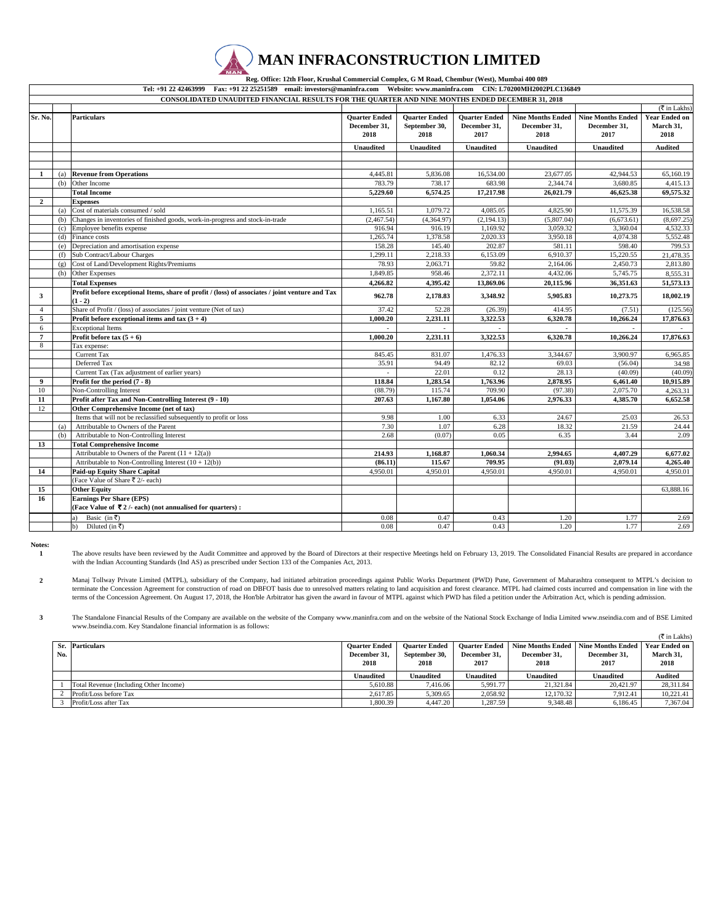|                      | $\mathcal{L}(\mathbf{A})$ MAN INFRACONSTRUCTION LIMITED<br><b>MAN</b>                           |
|----------------------|-------------------------------------------------------------------------------------------------|
|                      | Reg. Office: 12th Floor, Krushal Commercial Complex, G M Road, Chembur (West), Mumbai 400 089   |
| Tel: +91 22 42463999 | Eax: +91 22 25251589 email: investors@maninfra.com Website: www.maninfra.com CIN: L70200MH20021 |

**Tel: +91 22 42463999 Fax: +91 22 25251589 email: investors@maninfra.com Website: www.maninfra.com CIN: L70200MH2002PLC136849**

|                  | CONSOLIDATED UNAUDITED FINANCIAL RESULTS FOR THE QUARTER AND NINE MONTHS ENDED DECEMBER 31, 2018 |                                                                                                 |                      |                      |                      |                          |                          |                                      |  |
|------------------|--------------------------------------------------------------------------------------------------|-------------------------------------------------------------------------------------------------|----------------------|----------------------|----------------------|--------------------------|--------------------------|--------------------------------------|--|
|                  |                                                                                                  |                                                                                                 |                      |                      |                      |                          |                          | $(\overline{\mathfrak{k}}$ in Lakhs) |  |
| Sr. No.          |                                                                                                  | <b>Particulars</b>                                                                              | <b>Quarter Ended</b> | <b>Quarter Ended</b> | <b>Ouarter Ended</b> | <b>Nine Months Ended</b> | <b>Nine Months Ended</b> | <b>Year Ended on</b>                 |  |
|                  |                                                                                                  |                                                                                                 | December 31.         | September 30,        | December 31,         | December 31.             | December 31.             | March 31.                            |  |
|                  |                                                                                                  |                                                                                                 | 2018                 | 2018                 | 2017                 | 2018                     | 2017                     | 2018                                 |  |
|                  |                                                                                                  |                                                                                                 | <b>Unaudited</b>     | <b>Unaudited</b>     | <b>Unaudited</b>     | <b>Unaudited</b>         | <b>Unaudited</b>         | <b>Audited</b>                       |  |
|                  |                                                                                                  |                                                                                                 |                      |                      |                      |                          |                          |                                      |  |
|                  |                                                                                                  |                                                                                                 |                      |                      |                      |                          |                          |                                      |  |
| 1                | (a)                                                                                              | <b>Revenue from Operations</b>                                                                  | 4,445.81             | 5,836.08             | 16,534.00            | 23,677.05                | 42,944.53                | 65,160.19                            |  |
|                  | (b)                                                                                              | Other Income                                                                                    | 783.79               | 738.17               | 683.98               | 2,344.74                 | 3,680.85                 | 4,415.13                             |  |
|                  |                                                                                                  | <b>Total Income</b>                                                                             | 5.229.60             | 6.574.25             | 17,217.98            | 26.021.79                | 46,625.38                | 69,575.32                            |  |
| $\overline{2}$   |                                                                                                  | <b>Expenses</b>                                                                                 |                      |                      |                      |                          |                          |                                      |  |
|                  | (a)                                                                                              | Cost of materials consumed / sold                                                               | 1,165.51             | 1,079.72             | 4,085.05             | 4,825.90                 | 11,575.39                | 16,538.58                            |  |
|                  | (b)                                                                                              | Changes in inventories of finished goods, work-in-progress and stock-in-trade                   | (2,467.54)           | (4,364.97)           | (2, 194.13)          | (5,807.04)               | (6,673.61)               | (8,697.25)                           |  |
|                  | (c)                                                                                              | Employee benefits expense                                                                       | 916.94               | 916.19               | 1,169.92             | 3,059.32                 | 3,360.04                 | 4,532.33                             |  |
|                  |                                                                                                  | $(d)$ Finance costs                                                                             | 1.265.74             | 1.378.58             | 2,020.33             | 3.950.18                 | 4.074.38                 | 5.552.48                             |  |
|                  | (e)                                                                                              | Depreciation and amortisation expense                                                           | 158.28               | 145.40               | 202.87               | 581.11                   | 598.40                   | 799.53                               |  |
|                  | (f)                                                                                              | Sub Contract/Labour Charges                                                                     | 1.299.11             | 2.218.33             | 6,153.09             | 6.910.37                 | 15.220.55                | 21,478.35                            |  |
|                  | (g)                                                                                              | Cost of Land/Development Rights/Premiums                                                        | 78.93                | 2,063.71             | 59.82                | 2,164.06                 | 2,450.73                 | 2,813.80                             |  |
|                  | (h)                                                                                              | Other Expenses                                                                                  | 1,849.85             | 958.46               | 2,372.11             | 4,432.06                 | 5,745.75                 | 8,555.31                             |  |
|                  |                                                                                                  | <b>Total Expenses</b>                                                                           | 4.266.82             | 4,395.42             | 13,869.06            | 20.115.96                | 36,351.63                | 51,573.13                            |  |
|                  |                                                                                                  | Profit before exceptional Items, share of profit / (loss) of associates / joint venture and Tax |                      |                      |                      |                          |                          |                                      |  |
| 3                |                                                                                                  | $(1 - 2)$                                                                                       | 962.78               | 2,178.83             | 3,348.92             | 5,905.83                 | 10,273.75                | 18,002.19                            |  |
| $\overline{4}$   |                                                                                                  | Share of Profit / (loss) of associates / joint venture (Net of tax)                             | 37.42                | 52.28                | (26.39)              | 414.95                   | (7.51)                   | (125.56)                             |  |
| 5                |                                                                                                  | Profit before exceptional items and tax $(3 + 4)$                                               | 1.000.20             | 2.231.11             | 3.322.53             | 6.320.78                 | 10,266.24                | 17,876.63                            |  |
| 6                |                                                                                                  | <b>Exceptional Items</b>                                                                        | ÷.                   |                      |                      |                          |                          | $\sim$                               |  |
| $\overline{7}$   |                                                                                                  | Profit before tax $(5 + 6)$                                                                     | 1.000.20             | 2,231.11             | 3,322.53             | 6,320.78                 | 10,266.24                | 17,876.63                            |  |
| 8                |                                                                                                  | Tax expense:                                                                                    |                      |                      |                      |                          |                          |                                      |  |
|                  |                                                                                                  | Current Tax                                                                                     | 845.45               | 831.07               | 1,476.33             | 3,344.67                 | 3,900.97                 | 6,965.85                             |  |
|                  |                                                                                                  | Deferred Tax                                                                                    | 35.91                | 94.49                | 82.12                | 69.03                    | (56.04)                  | 34.98                                |  |
|                  |                                                                                                  | Current Tax (Tax adjustment of earlier years)                                                   |                      | 22.01                | 0.12                 | 28.13                    | (40.09)                  | (40.09)                              |  |
| $\boldsymbol{9}$ |                                                                                                  | Profit for the period $(7 - 8)$                                                                 | 118.84               | 1,283.54             | 1.763.96             | 2,878.95                 | 6.461.40                 | 10.915.89                            |  |
| 10               |                                                                                                  | Non-Controlling Interest                                                                        | (88.79)              | 115.74               | 709.90               | (97.38)                  | 2,075.70                 | 4,263.31                             |  |
| 11               |                                                                                                  | Profit after Tax and Non-Controlling Interest (9 - 10)                                          | 207.63               | 1,167.80             | 1,054.06             | 2,976.33                 | 4,385.70                 | 6,652.58                             |  |
| 12               |                                                                                                  | Other Comprehensive Income (net of tax)                                                         |                      |                      |                      |                          |                          |                                      |  |
|                  |                                                                                                  | Items that will not be reclassified subsequently to profit or loss                              | 9.98                 | 1.00                 | 6.33                 | 24.67                    | 25.03                    | 26.53                                |  |
|                  | (a)                                                                                              | Attributable to Owners of the Parent                                                            | 7.30                 | 1.07                 | 6.28                 | 18.32                    | 21.59                    | 24.44                                |  |
|                  | (b)                                                                                              | Attributable to Non-Controlling Interest                                                        | 2.68                 | (0.07)               | 0.05                 | 6.35                     | 3.44                     | 2.09                                 |  |
| 13               |                                                                                                  | <b>Total Comprehensive Income</b>                                                               |                      |                      |                      |                          |                          |                                      |  |
|                  |                                                                                                  | Attributable to Owners of the Parent $(11 + 12(a))$                                             | 214.93               | 1,168.87             | 1,060.34             | 2,994.65                 | 4,407.29                 | 6,677.02                             |  |
|                  |                                                                                                  | Attributable to Non-Controlling Interest $(10 + 12(b))$                                         | (86.11)              | 115.67               | 709.95               | (91.03)                  | 2,079.14                 | 4,265.40                             |  |
| 14               |                                                                                                  | <b>Paid-up Equity Share Capital</b>                                                             | 4,950.01             | 4,950.01             | 4,950.01             | 4,950.01                 | 4,950.01                 | 4,950.01                             |  |
|                  |                                                                                                  | (Face Value of Share ₹ 2/- each)                                                                |                      |                      |                      |                          |                          |                                      |  |
| 15               |                                                                                                  | <b>Other Equity</b>                                                                             |                      |                      |                      |                          |                          | 63,888.16                            |  |
| 16               |                                                                                                  | <b>Earnings Per Share (EPS)</b>                                                                 |                      |                      |                      |                          |                          |                                      |  |
|                  |                                                                                                  | (Face Value of ₹2/- each) (not annualised for quarters):                                        |                      |                      |                      |                          |                          |                                      |  |
|                  |                                                                                                  | Basic (in ₹)<br>a)                                                                              | 0.08                 | 0.47                 | 0.43                 | 1.20                     | 1.77                     | 2.69                                 |  |
|                  |                                                                                                  | Diluted (in ₹)<br>b)                                                                            | 0.08                 | 0.47                 | 0.43                 | 1.20                     | 1.77                     | 2.69                                 |  |

**Notes: 1**

The above results have been reviewed by the Audit Committee and approved by the Board of Directors at their respective Meetings held on February 13, 2019. The Consolidated Financial Results are prepared in accordance with the Indian Accounting Standards (Ind AS) as prescribed under Section 133 of the Companies Act, 2013.

**2** Manaj Tollway Private Limited (MTPL), subsidiary of the Company, had initiated arbitration proceedings against Public Works Department (PWD) Pune, Government of Maharashtra consequent to MTPL's decision to<br>terminate the Co terms of the Concession Agreement. On August 17, 2018, the Hon'ble Arbitrator has given the award in favour of MTPL against which PWD has filed a petition under the Arbitration Act, which is pending admission.

**3** The Standalone Financial Results of the Company are available on the website of the Company www.maninfra.com and on the website of the National Stock Exchange of India Limited www.nseindia.com and of BSE Limited www.bseindia.com. Key Standalone financial information is as follows:

|     |                                        |                      |                      |                      |                          |                   | $(\overline{\mathfrak{F}}$ in Lakhs) |
|-----|----------------------------------------|----------------------|----------------------|----------------------|--------------------------|-------------------|--------------------------------------|
|     | Sr. Particulars                        | <b>Ouarter Ended</b> | <b>Ouarter Ended</b> | <b>Ouarter Ended</b> | <b>Nine Months Ended</b> | Nine Months Ended | <b>Year Ended on</b>                 |
| No. |                                        | December 31.         | September 30.        | December 31.         | December 31.             | December 31.      | March 31,                            |
|     |                                        | 2018                 | 2018                 | 2017                 | 2018                     | 2017              | 2018                                 |
|     |                                        |                      |                      |                      |                          |                   |                                      |
|     |                                        | Unaudited            | <b>Unaudited</b>     | Unaudited            | <b>Unaudited</b>         | Unaudited         | <b>Audited</b>                       |
|     | Total Revenue (Including Other Income) | 5.610.88             | 7.416.06             | 5,991.77             | 21.321.84                | 20.421.97         | 28.311.84                            |
|     | Profit/Loss before Tax                 | 2.617.85             | 5.309.65             | 2.058.92             | 12,170.32                | 7.912.41          | 10.221.41                            |